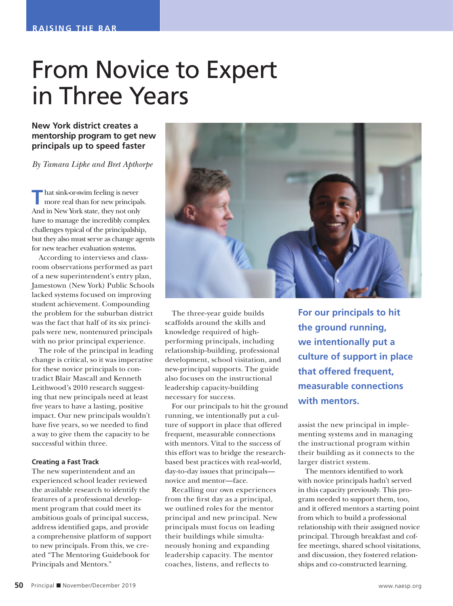## From Novice to Expert in Three Years

**New York district creates a mentorship program to get new principals up to speed faster**

*By Tamara Lipke and Bret Apthorpe*

**T** hat sink-or-swim feeling is never more real than for new principals. And in New York state, they not only have to manage the incredibly complex challenges typical of the principalship, but they also must serve as change agents for new teacher evaluation systems.

According to interviews and classroom observations performed as part of a new superintendent's entry plan, Jamestown (New York) Public Schools lacked systems focused on improving student achievement. Compounding the problem for the suburban district was the fact that half of its six principals were new, nontenured principals with no prior principal experience.

The role of the principal in leading change is critical, so it was imperative for these novice principals to contradict Blair Mascall and Kenneth Leithwood's 2010 research suggesting that new principals need at least five years to have a lasting, positive impact. Our new principals wouldn't have five years, so we needed to find a way to give them the capacity to be successful within three.

## **Creating a Fast Track**

The new superintendent and an experienced school leader reviewed the available research to identify the features of a professional development program that could meet its ambitious goals of principal success, address identified gaps, and provide a comprehensive platform of support to new principals. From this, we created "The Mentoring Guidebook for Principals and Mentors."



The three-year guide builds scaffolds around the skills and knowledge required of highperforming principals, including relationship-building, professional development, school visitation, and new-principal supports. The guide also focuses on the instructional leadership capacity-building necessary for success.

For our principals to hit the ground running, we intentionally put a culture of support in place that offered frequent, measurable connections with mentors. Vital to the success of this effort was to bridge the researchbased best practices with real-world, day-to-day issues that principals novice and mentor—face.

Recalling our own experiences from the first day as a principal, we outlined roles for the mentor principal and new principal. New principals must focus on leading their buildings while simultaneously honing and expanding leadership capacity. The mentor coaches, listens, and reflects to

**For our principals to hit the ground running, we intentionally put a culture of support in place that offered frequent, measurable connections with mentors.**

assist the new principal in implementing systems and in managing the instructional program within their building as it connects to the larger district system.

The mentors identified to work with novice principals hadn't served in this capacity previously. This program needed to support them, too, and it offered mentors a starting point from which to build a professional relationship with their assigned novice principal. Through breakfast and coffee meetings, shared school visitations, and discussion, they fostered relationships and co-constructed learning.